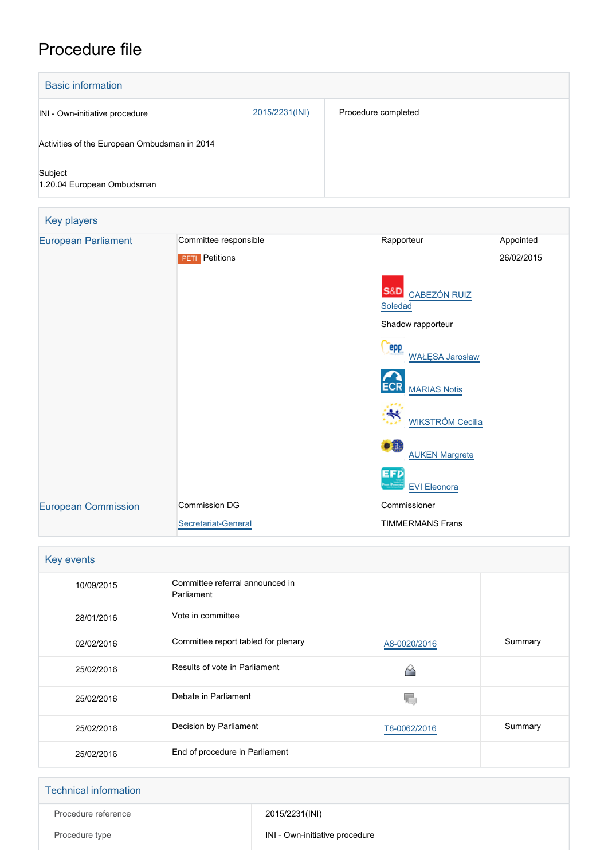## Procedure file

| <b>Basic information</b>                     |                       |                                                  |            |
|----------------------------------------------|-----------------------|--------------------------------------------------|------------|
| INI - Own-initiative procedure               | 2015/2231(INI)        | Procedure completed                              |            |
| Activities of the European Ombudsman in 2014 |                       |                                                  |            |
| Subject<br>1.20.04 European Ombudsman        |                       |                                                  |            |
| Key players                                  |                       |                                                  |            |
| <b>European Parliament</b>                   | Committee responsible | Rapporteur                                       | Appointed  |
|                                              | <b>PETI</b> Petitions |                                                  | 26/02/2015 |
|                                              |                       | S&D CABEZÓN RUIZ<br>Soledad<br>Shadow rapporteur |            |
|                                              |                       | <b>PPP</b><br><b>WAŁĘSA Jarosław</b>             |            |
|                                              |                       | <b>MARIAS Notis</b>                              |            |
|                                              |                       | <b>WIKSTRÖM Cecilia</b>                          |            |
|                                              |                       | $\bullet$<br><b>AUKEN Margrete</b>               |            |
|                                              |                       | EFD                                              |            |

 [EVI Eleonora](http://www.europarl.europa.eu/meps/en/124779) [European Commission](http://ec.europa.eu/) Commission DG [Secretariat-General](http://ec.europa.eu/info/departments/secretariat-general_en) Commissioner TIMMERMANS Frans

| Key events |                                               |              |         |  |  |
|------------|-----------------------------------------------|--------------|---------|--|--|
| 10/09/2015 | Committee referral announced in<br>Parliament |              |         |  |  |
| 28/01/2016 | Vote in committee                             |              |         |  |  |
| 02/02/2016 | Committee report tabled for plenary           | A8-0020/2016 | Summary |  |  |
| 25/02/2016 | Results of vote in Parliament                 |              |         |  |  |
| 25/02/2016 | Debate in Parliament                          |              |         |  |  |
| 25/02/2016 | Decision by Parliament                        | T8-0062/2016 | Summary |  |  |
| 25/02/2016 | End of procedure in Parliament                |              |         |  |  |

| <b>Technical information</b> |                                |  |
|------------------------------|--------------------------------|--|
| Procedure reference          | 2015/2231(INI)                 |  |
| Procedure type               | INI - Own-initiative procedure |  |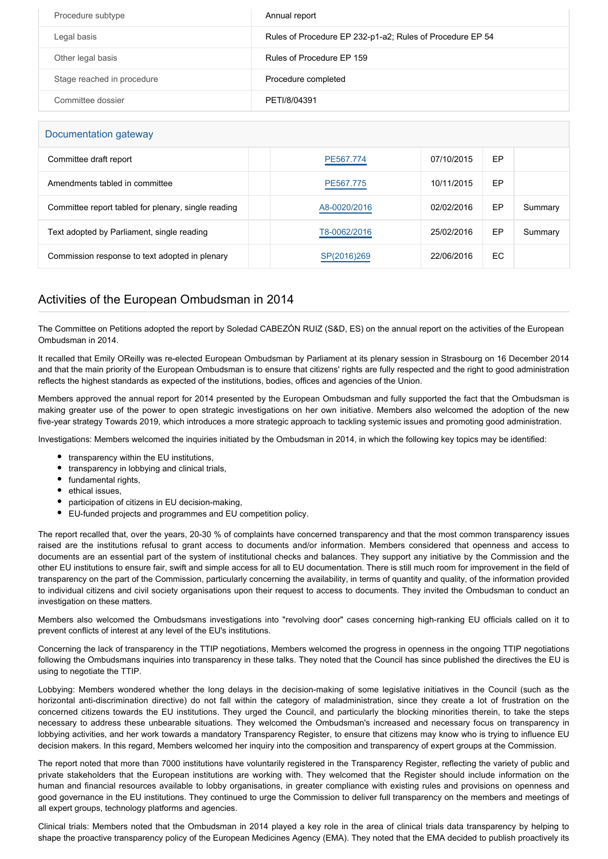| Procedure subtype          | Annual report                                             |
|----------------------------|-----------------------------------------------------------|
| Legal basis                | Rules of Procedure EP 232-p1-a2; Rules of Procedure EP 54 |
| Other legal basis          | Rules of Procedure EP 159                                 |
| Stage reached in procedure | Procedure completed                                       |
| Committee dossier          | PETI/8/04391                                              |

| Documentation gateway                               |              |            |     |         |  |  |
|-----------------------------------------------------|--------------|------------|-----|---------|--|--|
| Committee draft report                              | PE567.774    | 07/10/2015 | EP  |         |  |  |
| Amendments tabled in committee                      | PE567.775    | 10/11/2015 | EP  |         |  |  |
| Committee report tabled for plenary, single reading | A8-0020/2016 | 02/02/2016 | EP  | Summary |  |  |
| Text adopted by Parliament, single reading          | T8-0062/2016 | 25/02/2016 | EP  | Summary |  |  |
| Commission response to text adopted in plenary      | SP(2016)269  | 22/06/2016 | EC. |         |  |  |

## Activities of the European Ombudsman in 2014

The Committee on Petitions adopted the report by Soledad CABEZÓN RUIZ (S&D, ES) on the annual report on the activities of the European Ombudsman in 2014.

It recalled that Emily OReilly was re-elected European Ombudsman by Parliament at its plenary session in Strasbourg on 16 December 2014 and that the main priority of the European Ombudsman is to ensure that citizens' rights are fully respected and the right to good administration reflects the highest standards as expected of the institutions, bodies, offices and agencies of the Union.

Members approved the annual report for 2014 presented by the European Ombudsman and fully supported the fact that the Ombudsman is making greater use of the power to open strategic investigations on her own initiative. Members also welcomed the adoption of the new five-year strategy Towards 2019, which introduces a more strategic approach to tackling systemic issues and promoting good administration.

Investigations: Members welcomed the inquiries initiated by the Ombudsman in 2014, in which the following key topics may be identified:

- transparency within the EU institutions,
- transparency in lobbying and clinical trials,
- fundamental rights,
- ethical issues,
- participation of citizens in EU decision-making,
- EU-funded projects and programmes and EU competition policy.

The report recalled that, over the years, 20-30 % of complaints have concerned transparency and that the most common transparency issues raised are the institutions refusal to grant access to documents and/or information. Members considered that openness and access to documents are an essential part of the system of institutional checks and balances. They support any initiative by the Commission and the other EU institutions to ensure fair, swift and simple access for all to EU documentation. There is still much room for improvement in the field of transparency on the part of the Commission, particularly concerning the availability, in terms of quantity and quality, of the information provided to individual citizens and civil society organisations upon their request to access to documents. They invited the Ombudsman to conduct an investigation on these matters.

Members also welcomed the Ombudsmans investigations into "revolving door" cases concerning high-ranking EU officials called on it to prevent conflicts of interest at any level of the EU's institutions.

Concerning the lack of transparency in the TTIP negotiations, Members welcomed the progress in openness in the ongoing TTIP negotiations following the Ombudsmans inquiries into transparency in these talks. They noted that the Council has since published the directives the EU is using to negotiate the TTIP.

Lobbying: Members wondered whether the long delays in the decision-making of some legislative initiatives in the Council (such as the horizontal anti-discrimination directive) do not fall within the category of maladministration, since they create a lot of frustration on the concerned citizens towards the EU institutions. They urged the Council, and particularly the blocking minorities therein, to take the steps necessary to address these unbearable situations. They welcomed the Ombudsman's increased and necessary focus on transparency in lobbying activities, and her work towards a mandatory Transparency Register, to ensure that citizens may know who is trying to influence EU decision makers. In this regard, Members welcomed her inquiry into the composition and transparency of expert groups at the Commission.

The report noted that more than 7000 institutions have voluntarily registered in the Transparency Register, reflecting the variety of public and private stakeholders that the European institutions are working with. They welcomed that the Register should include information on the human and financial resources available to lobby organisations, in greater compliance with existing rules and provisions on openness and good governance in the EU institutions. They continued to urge the Commission to deliver full transparency on the members and meetings of all expert groups, technology platforms and agencies.

Clinical trials: Members noted that the Ombudsman in 2014 played a key role in the area of clinical trials data transparency by helping to shape the proactive transparency policy of the European Medicines Agency (EMA). They noted that the EMA decided to publish proactively its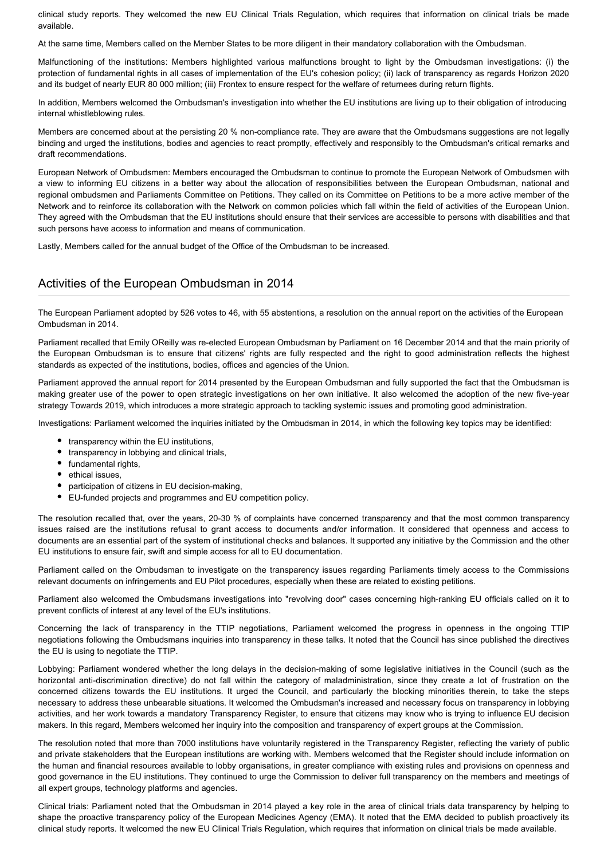clinical study reports. They welcomed the new EU Clinical Trials Regulation, which requires that information on clinical trials be made available.

At the same time, Members called on the Member States to be more diligent in their mandatory collaboration with the Ombudsman.

Malfunctioning of the institutions: Members highlighted various malfunctions brought to light by the Ombudsman investigations: (i) the protection of fundamental rights in all cases of implementation of the EU's cohesion policy; (ii) lack of transparency as regards Horizon 2020 and its budget of nearly EUR 80 000 million; (iii) Frontex to ensure respect for the welfare of returnees during return flights.

In addition, Members welcomed the Ombudsman's investigation into whether the EU institutions are living up to their obligation of introducing internal whistleblowing rules.

Members are concerned about at the persisting 20 % non-compliance rate. They are aware that the Ombudsmans suggestions are not legally binding and urged the institutions, bodies and agencies to react promptly, effectively and responsibly to the Ombudsman's critical remarks and draft recommendations.

European Network of Ombudsmen: Members encouraged the Ombudsman to continue to promote the European Network of Ombudsmen with a view to informing EU citizens in a better way about the allocation of responsibilities between the European Ombudsman, national and regional ombudsmen and Parliaments Committee on Petitions. They called on its Committee on Petitions to be a more active member of the Network and to reinforce its collaboration with the Network on common policies which fall within the field of activities of the European Union. They agreed with the Ombudsman that the EU institutions should ensure that their services are accessible to persons with disabilities and that such persons have access to information and means of communication.

Lastly, Members called for the annual budget of the Office of the Ombudsman to be increased.

## Activities of the European Ombudsman in 2014

The European Parliament adopted by 526 votes to 46, with 55 abstentions, a resolution on the annual report on the activities of the European Ombudsman in 2014.

Parliament recalled that Emily OReilly was re-elected European Ombudsman by Parliament on 16 December 2014 and that the main priority of the European Ombudsman is to ensure that citizens' rights are fully respected and the right to good administration reflects the highest standards as expected of the institutions, bodies, offices and agencies of the Union.

Parliament approved the annual report for 2014 presented by the European Ombudsman and fully supported the fact that the Ombudsman is making greater use of the power to open strategic investigations on her own initiative. It also welcomed the adoption of the new five-year strategy Towards 2019, which introduces a more strategic approach to tackling systemic issues and promoting good administration.

Investigations: Parliament welcomed the inquiries initiated by the Ombudsman in 2014, in which the following key topics may be identified:

- transparency within the EU institutions,
- $\bullet$ transparency in lobbying and clinical trials,
- fundamental rights,  $\bullet$
- ethical issues,
- participation of citizens in EU decision-making,
- EU-funded projects and programmes and EU competition policy.

The resolution recalled that, over the years, 20-30 % of complaints have concerned transparency and that the most common transparency issues raised are the institutions refusal to grant access to documents and/or information. It considered that openness and access to documents are an essential part of the system of institutional checks and balances. It supported any initiative by the Commission and the other EU institutions to ensure fair, swift and simple access for all to EU documentation.

Parliament called on the Ombudsman to investigate on the transparency issues regarding Parliaments timely access to the Commissions relevant documents on infringements and EU Pilot procedures, especially when these are related to existing petitions.

Parliament also welcomed the Ombudsmans investigations into "revolving door" cases concerning high-ranking EU officials called on it to prevent conflicts of interest at any level of the EU's institutions.

Concerning the lack of transparency in the TTIP negotiations, Parliament welcomed the progress in openness in the ongoing TTIP negotiations following the Ombudsmans inquiries into transparency in these talks. It noted that the Council has since published the directives the EU is using to negotiate the TTIP.

Lobbying: Parliament wondered whether the long delays in the decision-making of some legislative initiatives in the Council (such as the horizontal anti-discrimination directive) do not fall within the category of maladministration, since they create a lot of frustration on the concerned citizens towards the EU institutions. It urged the Council, and particularly the blocking minorities therein, to take the steps necessary to address these unbearable situations. It welcomed the Ombudsman's increased and necessary focus on transparency in lobbying activities, and her work towards a mandatory Transparency Register, to ensure that citizens may know who is trying to influence EU decision makers. In this regard, Members welcomed her inquiry into the composition and transparency of expert groups at the Commission.

The resolution noted that more than 7000 institutions have voluntarily registered in the Transparency Register, reflecting the variety of public and private stakeholders that the European institutions are working with. Members welcomed that the Register should include information on the human and financial resources available to lobby organisations, in greater compliance with existing rules and provisions on openness and good governance in the EU institutions. They continued to urge the Commission to deliver full transparency on the members and meetings of all expert groups, technology platforms and agencies.

Clinical trials: Parliament noted that the Ombudsman in 2014 played a key role in the area of clinical trials data transparency by helping to shape the proactive transparency policy of the European Medicines Agency (EMA). It noted that the EMA decided to publish proactively its clinical study reports. It welcomed the new EU Clinical Trials Regulation, which requires that information on clinical trials be made available.